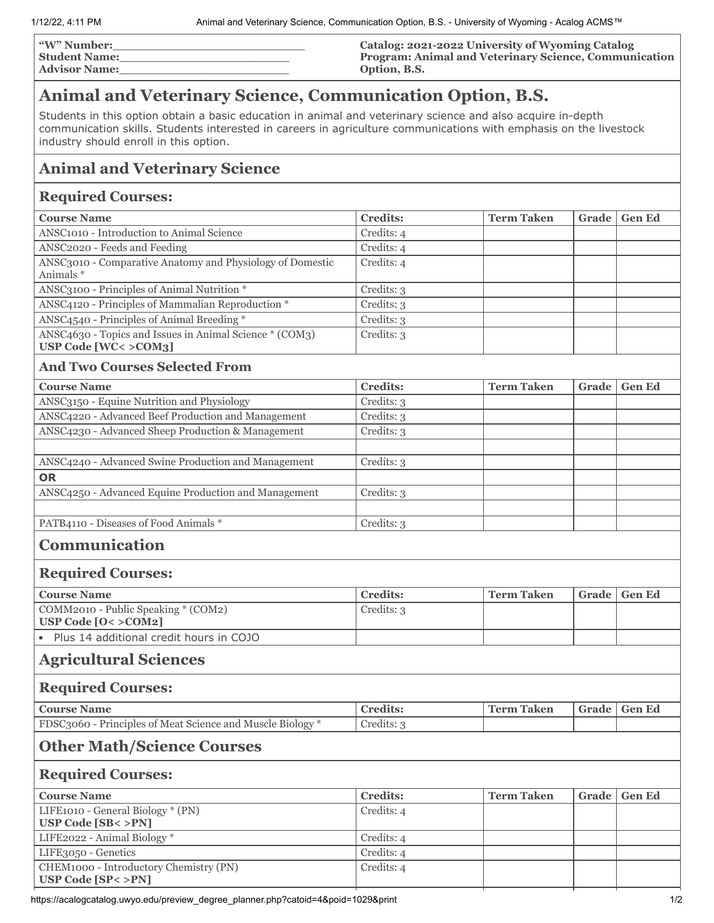| <b><i>W</i></b> " Number: | Catalog: 2021-2022 University of Wyoming Catalog             |
|---------------------------|--------------------------------------------------------------|
| <b>Student Name:</b>      | <b>Program: Animal and Veterinary Science, Communication</b> |
| <b>Advisor Name:</b>      | Option, B.S.                                                 |

## **Animal and Veterinary Science, Communication Option, B.S.**

Students in this option obtain a basic education in animal and veterinary science and also acquire in-depth communication skills. Students interested in careers in agriculture communications with emphasis on the livestock industry should enroll in this option.

## **Animal and Veterinary Science**

## **Required Courses:**

| <b>Course Name</b>                                                             | <b>Credits:</b> | <b>Term Taken</b> | Grade | <b>Gen Ed</b> |
|--------------------------------------------------------------------------------|-----------------|-------------------|-------|---------------|
| ANSC1010 - Introduction to Animal Science                                      | Credits: 4      |                   |       |               |
| ANSC2020 - Feeds and Feeding                                                   | Credits: 4      |                   |       |               |
| ANSC3010 - Comparative Anatomy and Physiology of Domestic<br>Animals*          | Credits: 4      |                   |       |               |
| ANSC3100 - Principles of Animal Nutrition *                                    | Credits: 3      |                   |       |               |
| ANSC4120 - Principles of Mammalian Reproduction *                              | Credits: 3      |                   |       |               |
| ANSC4540 - Principles of Animal Breeding *                                     | Credits: 3      |                   |       |               |
| ANSC4630 - Topics and Issues in Animal Science * (COM3)<br>USP Code [WC<>COM3] | Credits: 3      |                   |       |               |
| <b>And Two Courses Selected From</b>                                           |                 |                   |       |               |
| <b>Course Name</b>                                                             | <b>Credits:</b> | <b>Term Taken</b> | Grade | <b>Gen Ed</b> |
| ANSC3150 - Equine Nutrition and Physiology                                     | Credits: 3      |                   |       |               |
| ANSC4220 - Advanced Beef Production and Management                             | Credits: 3      |                   |       |               |
| ANSC4230 - Advanced Sheep Production & Management                              | Credits: 3      |                   |       |               |
|                                                                                |                 |                   |       |               |
| ANSC4240 - Advanced Swine Production and Management                            | Credits: 3      |                   |       |               |
| <b>OR</b>                                                                      |                 |                   |       |               |
| ANSC4250 - Advanced Equine Production and Management                           | Credits: 3      |                   |       |               |
|                                                                                |                 |                   |       |               |
| PATB4110 - Diseases of Food Animals *                                          | Credits: 3      |                   |       |               |
| Communication<br><b>Required Courses:</b>                                      |                 |                   |       |               |
| <b>Course Name</b>                                                             | <b>Credits:</b> | <b>Term Taken</b> | Grade | <b>Gen Ed</b> |
| COMM2010 - Public Speaking * (COM2)                                            | Credits: 3      |                   |       |               |
| USP Code $[0 < >$ COM2]                                                        |                 |                   |       |               |
| • Plus 14 additional credit hours in COJO                                      |                 |                   |       |               |
| <b>Agricultural Sciences</b>                                                   |                 |                   |       |               |
| <b>Required Courses:</b>                                                       |                 |                   |       |               |
| <b>Course Name</b>                                                             | <b>Credits:</b> | <b>Term Taken</b> | Grade | <b>Gen Ed</b> |
| FDSC3060 - Principles of Meat Science and Muscle Biology *                     | Credits: 3      |                   |       |               |
| <b>Other Math/Science Courses</b>                                              |                 |                   |       |               |
| <b>Required Courses:</b>                                                       |                 |                   |       |               |
| <b>Course Name</b>                                                             | <b>Credits:</b> | <b>Term Taken</b> | Grade | <b>Gen Ed</b> |
| LIFE1010 - General Biology * (PN)<br>USP Code [SB< >PN]                        | Credits: 4      |                   |       |               |
| LIFE2022 - Animal Biology*                                                     |                 |                   |       |               |
|                                                                                | Credits: 4      |                   |       |               |
| LIFE3050 - Genetics                                                            | Credits: 4      |                   |       |               |
| CHEM1000 - Introductory Chemistry (PN)<br>USP Code [SP< >PN]                   | Credits: 4      |                   |       |               |

https://acalogcatalog.uwyo.edu/preview\_degree\_planner.php?catoid=4&poid=1029&print 1029&print 1/2